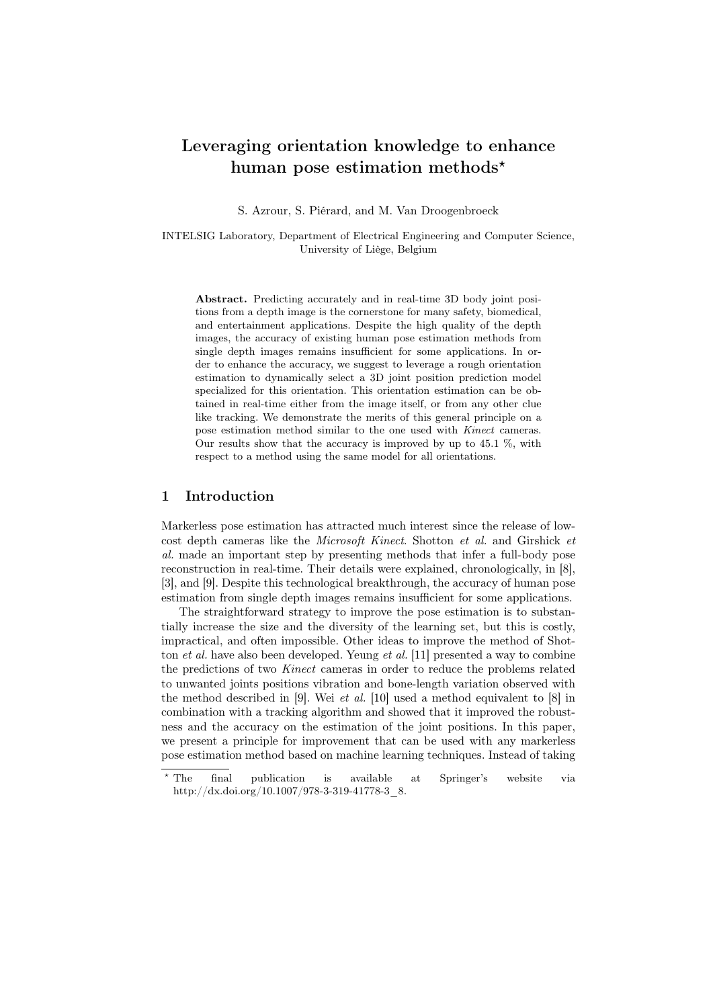# Leveraging orientation knowledge to enhance human pose estimation methods<sup>\*</sup>

S. Azrour, S. Piérard, and M. Van Droogenbroeck

INTELSIG Laboratory, Department of Electrical Engineering and Computer Science, University of Liège, Belgium

Abstract. Predicting accurately and in real-time 3D body joint positions from a depth image is the cornerstone for many safety, biomedical, and entertainment applications. Despite the high quality of the depth images, the accuracy of existing human pose estimation methods from single depth images remains insufficient for some applications. In order to enhance the accuracy, we suggest to leverage a rough orientation estimation to dynamically select a 3D joint position prediction model specialized for this orientation. This orientation estimation can be obtained in real-time either from the image itself, or from any other clue like tracking. We demonstrate the merits of this general principle on a pose estimation method similar to the one used with Kinect cameras. Our results show that the accuracy is improved by up to 45.1 %, with respect to a method using the same model for all orientations.

# 1 Introduction

Markerless pose estimation has attracted much interest since the release of lowcost depth cameras like the Microsoft Kinect. Shotton et al. and Girshick et al. made an important step by presenting methods that infer a full-body pose reconstruction in real-time. Their details were explained, chronologically, in [8], [3], and [9]. Despite this technological breakthrough, the accuracy of human pose estimation from single depth images remains insufficient for some applications.

The straightforward strategy to improve the pose estimation is to substantially increase the size and the diversity of the learning set, but this is costly, impractical, and often impossible. Other ideas to improve the method of Shotton *et al.* have also been developed. Yeung *et al.* [11] presented a way to combine the predictions of two Kinect cameras in order to reduce the problems related to unwanted joints positions vibration and bone-length variation observed with the method described in [9]. Wei et al. [10] used a method equivalent to [8] in combination with a tracking algorithm and showed that it improved the robustness and the accuracy on the estimation of the joint positions. In this paper, we present a principle for improvement that can be used with any markerless pose estimation method based on machine learning techniques. Instead of taking

<sup>?</sup> The final publication is available at Springer's website via http://dx.doi.org/10.1007/978-3-319-41778-3\_8.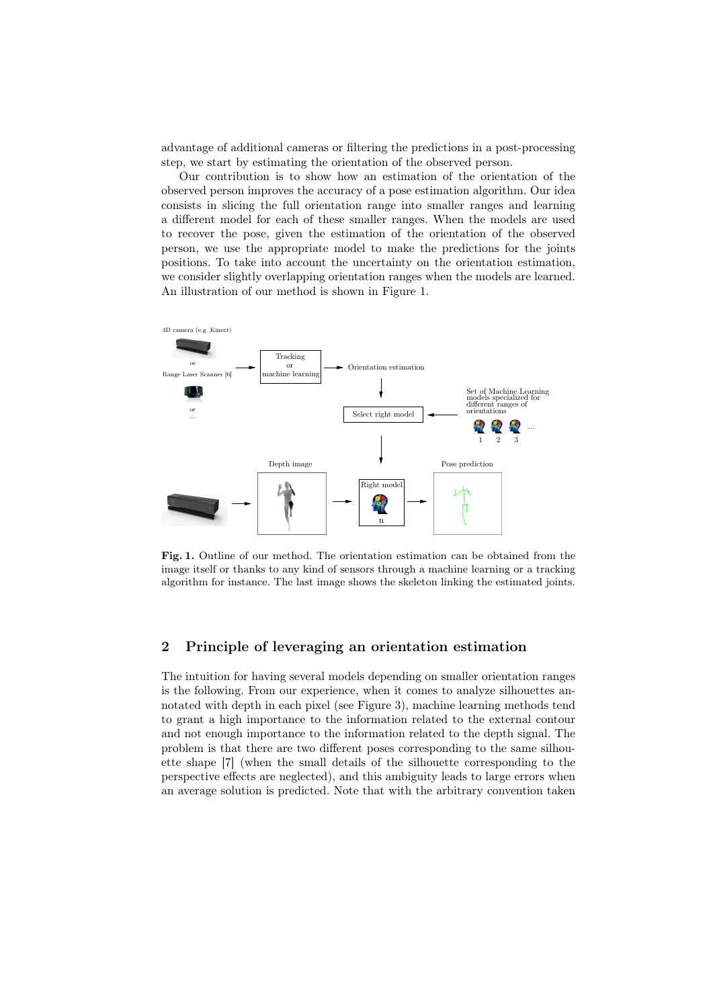advantage of additional cameras or filtering the predictions in a post-processing step, we start by estimating the orientation of the observed person.

Our contribution is to show how an estimation of the orientation of the observed person improves the accuracy of a pose estimation algorithm. Our idea consists in slicing the full orientation range into smaller ranges and learning a different model for each of these smaller ranges. When the models are used to recover the pose, given the estimation of the orientation of the observed person, we use the appropriate model to make the predictions for the joints positions. To take into account the uncertainty on the orientation estimation, we consider slightly overlapping orientation ranges when the models are learned. An illustration of our method is shown in Figure 1.



Fig. 1. Outline of our method. The orientation estimation can be obtained from the image itself or thanks to any kind of sensors through a machine learning or a tracking algorithm for instance. The last image shows the skeleton linking the estimated joints.

# 2 Principle of leveraging an orientation estimation

The intuition for having several models depending on smaller orientation ranges is the following. From our experience, when it comes to analyze silhouettes annotated with depth in each pixel (see Figure 3), machine learning methods tend to grant a high importance to the information related to the external contour and not enough importance to the information related to the depth signal. The problem is that there are two different poses corresponding to the same silhouette shape [7] (when the small details of the silhouette corresponding to the perspective effects are neglected), and this ambiguity leads to large errors when an average solution is predicted. Note that with the arbitrary convention taken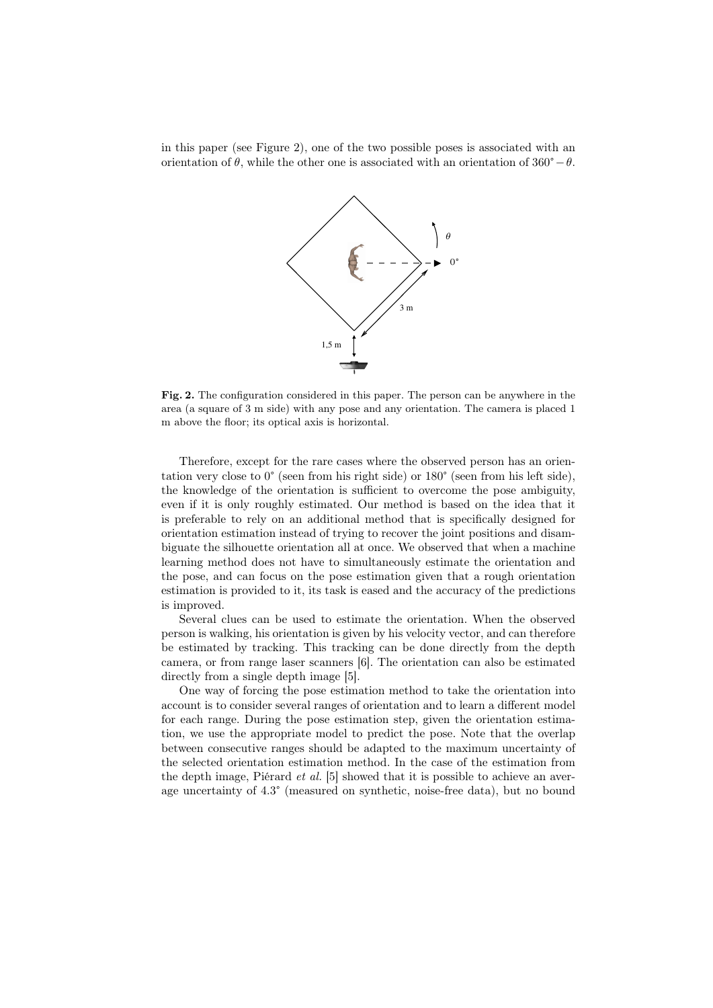in this paper (see Figure 2), one of the two possible poses is associated with an orientation of  $\theta$ , while the other one is associated with an orientation of 360° –  $\theta$ .



Fig. 2. The configuration considered in this paper. The person can be anywhere in the area (a square of 3 m side) with any pose and any orientation. The camera is placed 1 m above the floor; its optical axis is horizontal.

Therefore, except for the rare cases where the observed person has an orientation very close to 0° (seen from his right side) or 180° (seen from his left side), the knowledge of the orientation is sufficient to overcome the pose ambiguity, even if it is only roughly estimated. Our method is based on the idea that it is preferable to rely on an additional method that is specifically designed for orientation estimation instead of trying to recover the joint positions and disambiguate the silhouette orientation all at once. We observed that when a machine learning method does not have to simultaneously estimate the orientation and the pose, and can focus on the pose estimation given that a rough orientation estimation is provided to it, its task is eased and the accuracy of the predictions is improved.

Several clues can be used to estimate the orientation. When the observed person is walking, his orientation is given by his velocity vector, and can therefore be estimated by tracking. This tracking can be done directly from the depth camera, or from range laser scanners [6]. The orientation can also be estimated directly from a single depth image [5].

One way of forcing the pose estimation method to take the orientation into account is to consider several ranges of orientation and to learn a different model for each range. During the pose estimation step, given the orientation estimation, we use the appropriate model to predict the pose. Note that the overlap between consecutive ranges should be adapted to the maximum uncertainty of the selected orientation estimation method. In the case of the estimation from the depth image, Piérard et al. [5] showed that it is possible to achieve an average uncertainty of 4.3° (measured on synthetic, noise-free data), but no bound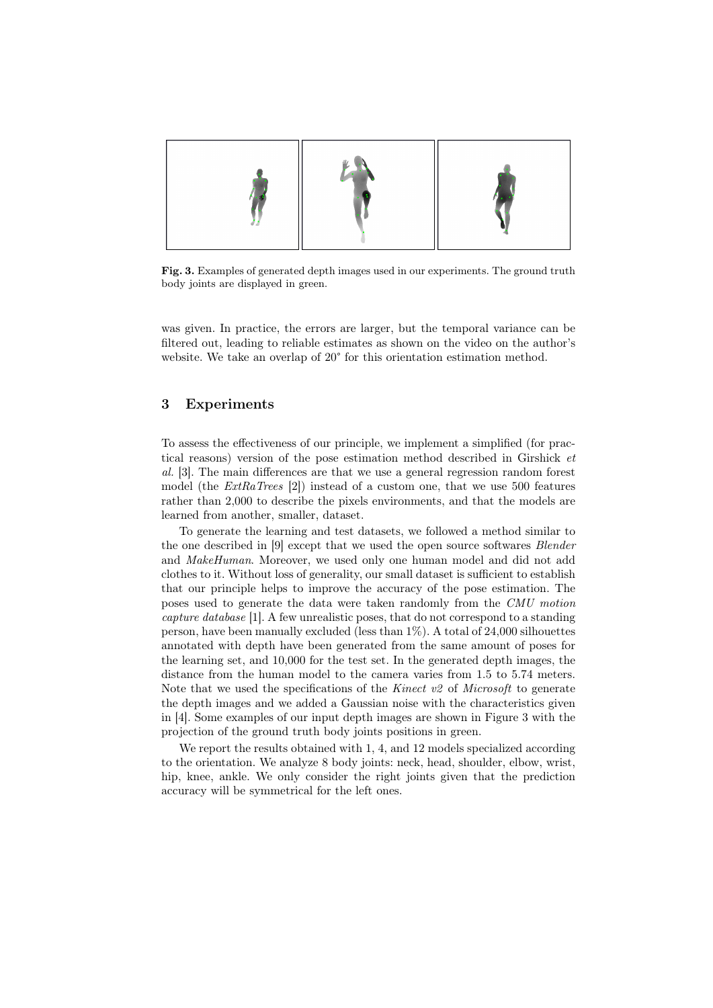

Fig. 3. Examples of generated depth images used in our experiments. The ground truth body joints are displayed in green.

was given. In practice, the errors are larger, but the temporal variance can be filtered out, leading to reliable estimates as shown on the video on the author's website. We take an overlap of 20° for this orientation estimation method.

# 3 Experiments

To assess the effectiveness of our principle, we implement a simplified (for practical reasons) version of the pose estimation method described in Girshick et al. [3]. The main differences are that we use a general regression random forest model (the  $ExthaTrees$  [2]) instead of a custom one, that we use 500 features rather than 2,000 to describe the pixels environments, and that the models are learned from another, smaller, dataset.

To generate the learning and test datasets, we followed a method similar to the one described in [9] except that we used the open source softwares Blender and MakeHuman. Moreover, we used only one human model and did not add clothes to it. Without loss of generality, our small dataset is sufficient to establish that our principle helps to improve the accuracy of the pose estimation. The poses used to generate the data were taken randomly from the CMU motion capture database [1]. A few unrealistic poses, that do not correspond to a standing person, have been manually excluded (less than  $1\%$ ). A total of 24,000 silhouettes annotated with depth have been generated from the same amount of poses for the learning set, and 10,000 for the test set. In the generated depth images, the distance from the human model to the camera varies from 1.5 to 5.74 meters. Note that we used the specifications of the Kinect v2 of Microsoft to generate the depth images and we added a Gaussian noise with the characteristics given in [4]. Some examples of our input depth images are shown in Figure 3 with the projection of the ground truth body joints positions in green.

We report the results obtained with 1, 4, and 12 models specialized according to the orientation. We analyze 8 body joints: neck, head, shoulder, elbow, wrist, hip, knee, ankle. We only consider the right joints given that the prediction accuracy will be symmetrical for the left ones.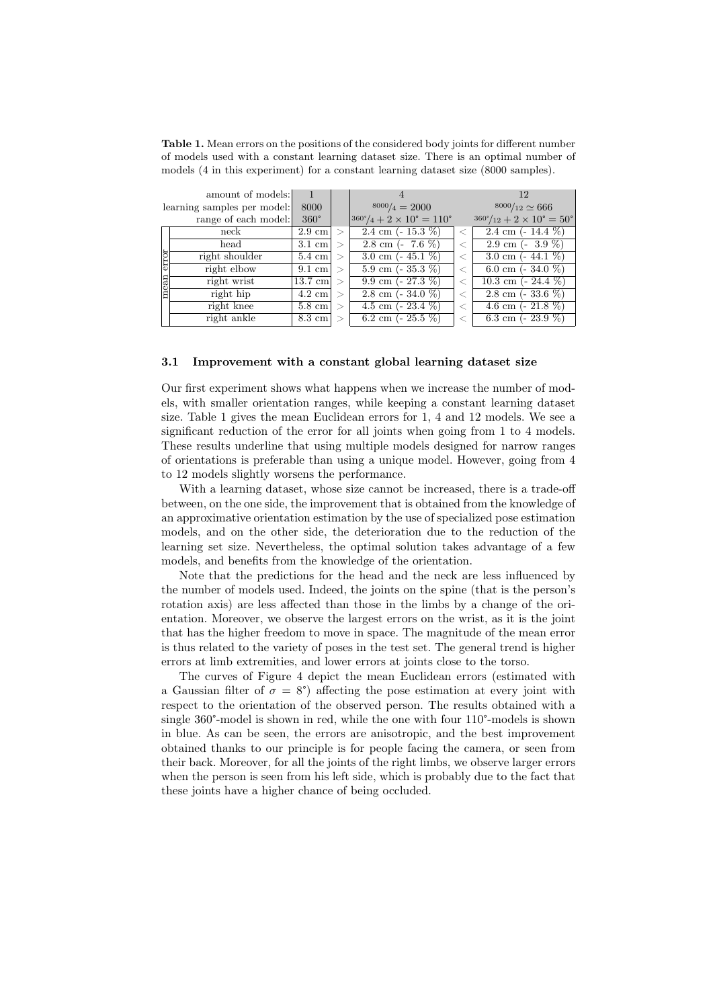Table 1. Mean errors on the positions of the considered body joints for different number of models used with a constant learning dataset size. There is an optimal number of models (4 in this experiment) for a constant learning dataset size (8000 samples).

| amount of models:           |                |                   |          |                                                       |         | 12                                                  |
|-----------------------------|----------------|-------------------|----------|-------------------------------------------------------|---------|-----------------------------------------------------|
| learning samples per model: |                | 8000              |          | $8000/4 = 2000$                                       |         | $8000/12 \simeq 666$                                |
| range of each model:        |                | $360^\circ$       |          | $ 360^{\circ}/4 + 2 \times 10^{\circ} = 110^{\circ} $ |         | $360^{\circ}/12 + 2 \times 10^{\circ} = 50^{\circ}$ |
|                             | neck           | $2.9 \text{ cm}$  | $\rm{>}$ | 2.4 cm $(-15.3\%)$                                    | $\,<\,$ | 2.4 cm $(-14.4\%)$                                  |
|                             | head           | $3.1 \text{ cm}$  | $\gt$    | 2.8 cm $(-7.6\%)$                                     | $\,<\,$ | $2.9 \text{ cm}$ (- $3.9 \%$ )                      |
| error                       | right shoulder | $5.4 \text{ cm}$  | $\geq$   | 3.0 cm $(-45.1\%)$                                    | $\,<\,$ | 3.0 cm $(-44.1\%)$                                  |
|                             | right elbow    | $9.1 \text{ cm}$  | $\geq$   | 5.9 cm $(-35.3\%)$                                    | $\,<\,$ | 6.0 cm $(-34.0\%)$                                  |
| mean                        | right wrist    | $13.7 \text{ cm}$ | $\geq$   | $9.9 \text{ cm}$ (- 27.3 %)                           | $\,<\,$ | 10.3 cm $(-24.4\%)$                                 |
|                             | right hip      | $4.2 \text{ cm}$  | $\rm{>}$ | $2.8 \text{ cm } (-34.0 \%)$                          | $\,<\,$ | 2.8 cm $(-33.6\%)$                                  |
|                             | right knee     | $5.8 \text{ cm}$  | >        | 4.5 cm $(-23.4\%)$                                    | $\,<\,$ | 4.6 cm $(-21.8\%)$                                  |
|                             | right ankle    | $8.3 \text{ cm}$  | $\rm{>}$ | 6.2 cm $(-25.5\%)$                                    | $\,<\,$ | 6.3 cm $(-23.9\%)$                                  |

#### 3.1 Improvement with a constant global learning dataset size

Our first experiment shows what happens when we increase the number of models, with smaller orientation ranges, while keeping a constant learning dataset size. Table 1 gives the mean Euclidean errors for 1, 4 and 12 models. We see a significant reduction of the error for all joints when going from 1 to 4 models. These results underline that using multiple models designed for narrow ranges of orientations is preferable than using a unique model. However, going from 4 to 12 models slightly worsens the performance.

With a learning dataset, whose size cannot be increased, there is a trade-off between, on the one side, the improvement that is obtained from the knowledge of an approximative orientation estimation by the use of specialized pose estimation models, and on the other side, the deterioration due to the reduction of the learning set size. Nevertheless, the optimal solution takes advantage of a few models, and benefits from the knowledge of the orientation.

Note that the predictions for the head and the neck are less influenced by the number of models used. Indeed, the joints on the spine (that is the person's rotation axis) are less affected than those in the limbs by a change of the orientation. Moreover, we observe the largest errors on the wrist, as it is the joint that has the higher freedom to move in space. The magnitude of the mean error is thus related to the variety of poses in the test set. The general trend is higher errors at limb extremities, and lower errors at joints close to the torso.

The curves of Figure 4 depict the mean Euclidean errors (estimated with a Gaussian filter of  $\sigma = 8^{\circ}$  affecting the pose estimation at every joint with respect to the orientation of the observed person. The results obtained with a single 360°-model is shown in red, while the one with four 110°-models is shown in blue. As can be seen, the errors are anisotropic, and the best improvement obtained thanks to our principle is for people facing the camera, or seen from their back. Moreover, for all the joints of the right limbs, we observe larger errors when the person is seen from his left side, which is probably due to the fact that these joints have a higher chance of being occluded.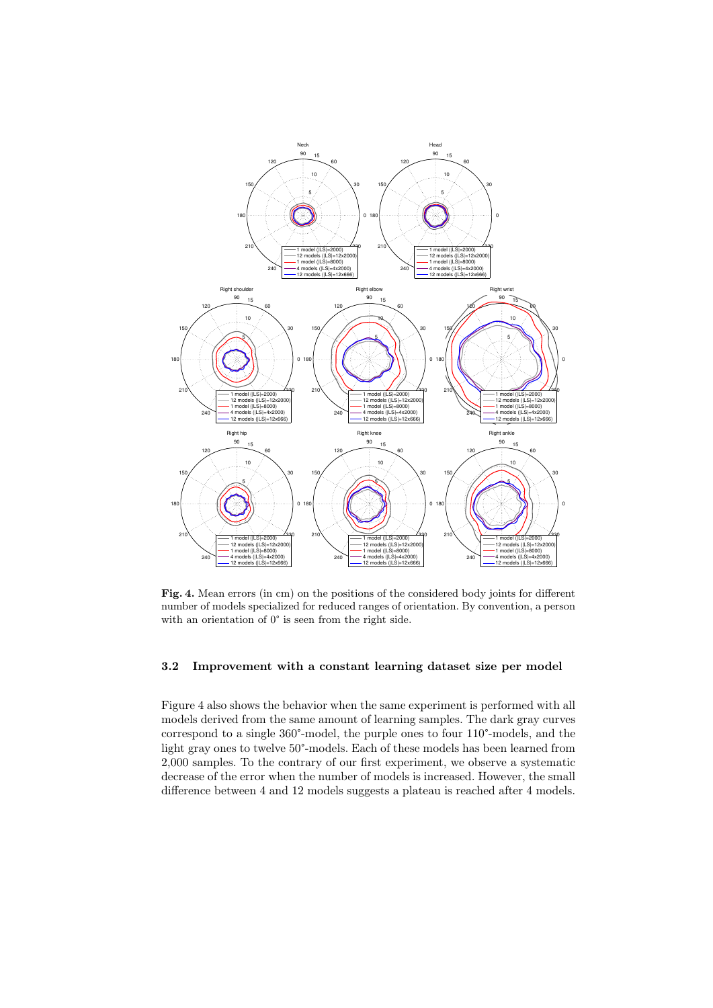

Fig. 4. Mean errors (in cm) on the positions of the considered body joints for different number of models specialized for reduced ranges of orientation. By convention, a person with an orientation of 0° is seen from the right side.

### 3.2 Improvement with a constant learning dataset size per model

Figure 4 also shows the behavior when the same experiment is performed with all models derived from the same amount of learning samples. The dark gray curves correspond to a single 360°-model, the purple ones to four 110°-models, and the light gray ones to twelve 50°-models. Each of these models has been learned from ,000 samples. To the contrary of our first experiment, we observe a systematic decrease of the error when the number of models is increased. However, the small difference between 4 and 12 models suggests a plateau is reached after 4 models.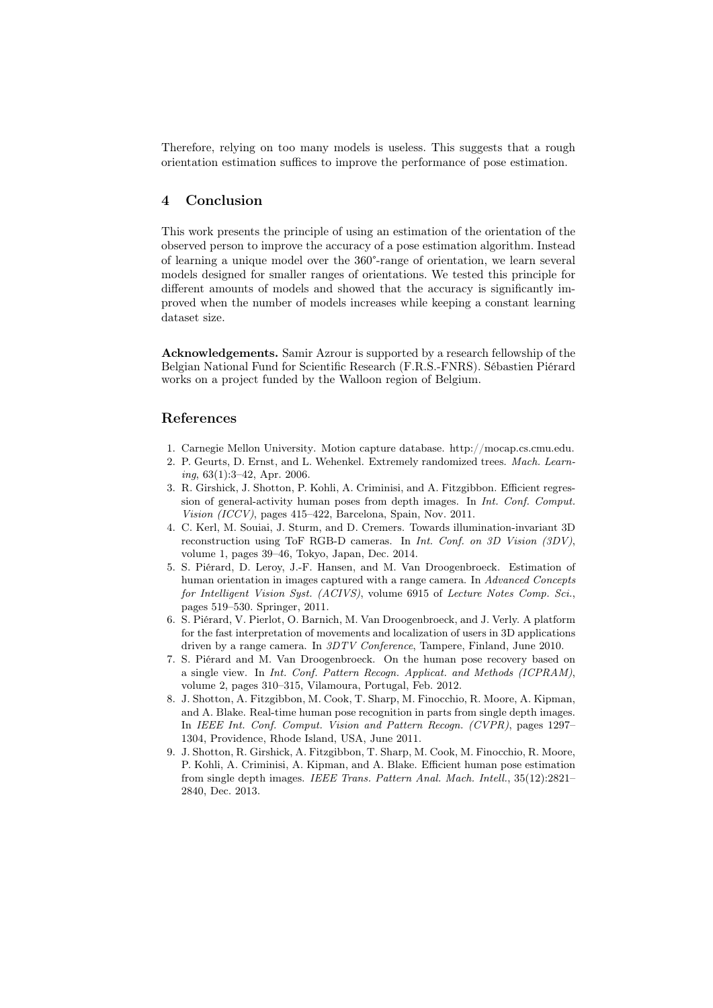Therefore, relying on too many models is useless. This suggests that a rough orientation estimation suffices to improve the performance of pose estimation.

# 4 Conclusion

This work presents the principle of using an estimation of the orientation of the observed person to improve the accuracy of a pose estimation algorithm. Instead of learning a unique model over the 360°-range of orientation, we learn several models designed for smaller ranges of orientations. We tested this principle for different amounts of models and showed that the accuracy is significantly improved when the number of models increases while keeping a constant learning dataset size.

Acknowledgements. Samir Azrour is supported by a research fellowship of the Belgian National Fund for Scientific Research (F.R.S.-FNRS). Sébastien Piérard works on a project funded by the Walloon region of Belgium.

# References

- 1. Carnegie Mellon University. Motion capture database. http://mocap.cs.cmu.edu.
- 2. P. Geurts, D. Ernst, and L. Wehenkel. Extremely randomized trees. Mach. Learning, 63(1):3–42, Apr. 2006.
- 3. R. Girshick, J. Shotton, P. Kohli, A. Criminisi, and A. Fitzgibbon. Efficient regression of general-activity human poses from depth images. In Int. Conf. Comput. Vision (ICCV), pages 415–422, Barcelona, Spain, Nov. 2011.
- 4. C. Kerl, M. Souiai, J. Sturm, and D. Cremers. Towards illumination-invariant 3D reconstruction using ToF RGB-D cameras. In Int. Conf. on 3D Vision (3DV), volume 1, pages 39–46, Tokyo, Japan, Dec. 2014.
- 5. S. Piérard, D. Leroy, J.-F. Hansen, and M. Van Droogenbroeck. Estimation of human orientation in images captured with a range camera. In Advanced Concepts for Intelligent Vision Syst. (ACIVS), volume 6915 of Lecture Notes Comp. Sci., pages 519–530. Springer, 2011.
- 6. S. Piérard, V. Pierlot, O. Barnich, M. Van Droogenbroeck, and J. Verly. A platform for the fast interpretation of movements and localization of users in 3D applications driven by a range camera. In 3DTV Conference, Tampere, Finland, June 2010.
- 7. S. Piérard and M. Van Droogenbroeck. On the human pose recovery based on a single view. In Int. Conf. Pattern Recogn. Applicat. and Methods (ICPRAM), volume 2, pages 310–315, Vilamoura, Portugal, Feb. 2012.
- 8. J. Shotton, A. Fitzgibbon, M. Cook, T. Sharp, M. Finocchio, R. Moore, A. Kipman, and A. Blake. Real-time human pose recognition in parts from single depth images. In IEEE Int. Conf. Comput. Vision and Pattern Recogn. (CVPR), pages 1297– 1304, Providence, Rhode Island, USA, June 2011.
- 9. J. Shotton, R. Girshick, A. Fitzgibbon, T. Sharp, M. Cook, M. Finocchio, R. Moore, P. Kohli, A. Criminisi, A. Kipman, and A. Blake. Efficient human pose estimation from single depth images. IEEE Trans. Pattern Anal. Mach. Intell., 35(12):2821– 2840, Dec. 2013.